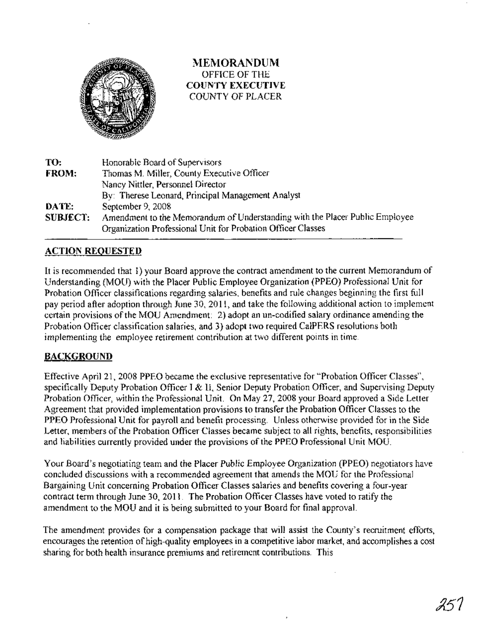

MEMORANDUM OFFICE OF THE COUNTY EXECUTIVE COUNTY OF PLACER

| TO:          | Honorable Board of Supervisors                                               |
|--------------|------------------------------------------------------------------------------|
| <b>FROM:</b> | Thomas M. Miller, County Executive Officer                                   |
|              | Nancy Nittler, Personnel Director                                            |
|              | By: Therese Leonard, Principal Management Analyst                            |
| DATE:        | September 9, 2008                                                            |
| SUBJECT:     | Amendment to the Memorandum of Understanding with the Placer Public Employee |
|              | Organization Professional Unit for Probation Officer Classes                 |

#### ACTION REQUESTED

It is recommended that 1) your Board approve the contract amendment to the current Memorandum of Understanding (MOU) with the Placer Public Employee Organization (PPEO) Professional Unit for Probation Officer classifications regarding salaries, benefits and rule changes beginning the first full pay period after adoption through June 30,2011, and take the following additional action to implement certain provisions of the MOU Amendment: 2) adopt an un-codified salary ordinance amending the Probation Officer classification salaries, and 3) adopt two required CalPERS resolutions both implementing the employee retirement contribution at two different points in time.

#### **BACKGROUND**

Effective April 21, 2008 PPEO became the exclusive representative for "Probation Officer Classes", specifically Deputy Probation Officer I & II, Senior Deputy Probation Officer, and Supervising Deputy Probation Officer, within the Professional Unit. On May 27, 2008 your Board approved a Side Letter Agreement that provided implementation provisions totransfer the Probation Officer Classes to the PPEO Professional Unit for payroll and benefit processing. Unless otherwise provided for in the Side Letter, members of the Probation Officer Classes became subject to all rights, benefits, responsibilities and liabilities currently provided under the provisions ofthe PPEO Professional Unit MOD.

Your Board's negotiating team and the Placer Public Employee Organization (PPEO) negotiators have concluded discussions with a recommended agreement that amends the MOU for the Professional Bargaining Unit concerning Probation Officer Classes salaries and benefits covering a four-year contract term through June 30, 2011. The Probation Officer Classes have voted to ratify the amendment to the MOU and it is being submitted to your Board for final approval.

.The amendment provides for a compensation package that will assist the County's recruitment efforts, encourages the retention of high-quality employees in a competitive labor market, and accomplishes a cost sharing for both health insurance premiums and retirement contributions. This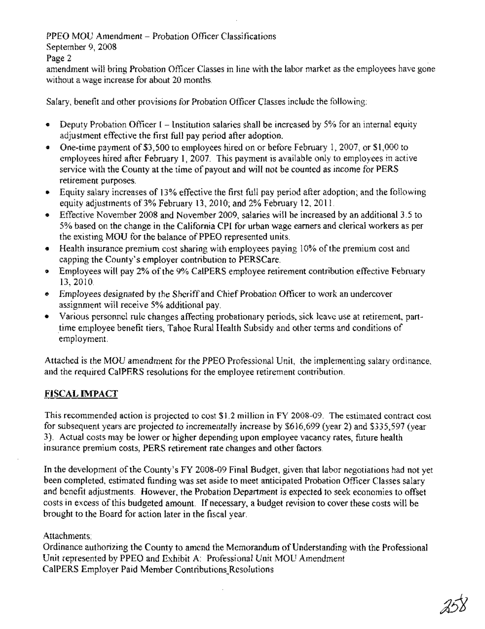PPEO MOU Amendment - Probation Officer Classifications

September 9, 2008

Page 2

amendment will bring Probation Officer Classes in line with the labor market as the employees have gone without a wage increase for about 20 months.

Salary, benefit and other provisions for Probation Officer Classes include the following:

- Deputy Probation Officer I Institution salaries shall be increased by 5% for an internal equity adjustment effective the first full pay period after adoption.
- .. One-time payment of\$3,500 to employees hired on or before February 1, 2007, or \$l,OOOto employees hired after February 1,2007. This payment is available only to employees in active service with the County at the time of payout and will not be counted as income for PERS retirement purposes.
- Equity salary increases of 13% effective the first full pay period after adoption; and the following equity adjustments of3% February 13,2010; and 2% February 12, 2011.
- o Effective November 2008 and November 2009, salaries will be increased by an additional 3.5 to 5% based on the change in the California CPI for urban wage earners and clerical workers as per the existing MOU for the balance of PPEO represented units.
- Health insurance premium cost sharing with employees paying 10% of the premium cost and capping the County's employer contribution to PERSCare.
- Employees will pay 2% of the 9% CalPERS employee retirement contribution effective February 13,2010.
- $\bullet$  Employees designated by the Sheriff and Chief Probation Officer to work an undercover assignment will receive 5% additional pay.
- .. Various personnel rule changes affecting probationary periods, sick leave use at retirement, parttime employee benefit tiers, Tahoe Rural Health Subsidy and other terms and conditions of employment.

Attached is the MOU amendment for the PPEO Professional Unit, the implementing salary ordinance, and the required CalPERS resolutions for the employee retirement contribution.

### FISCAL IMPACT

This recommendeq action is projected to cost \$1.2 million in FY 2008-09. The estimated contract cost for subsequent years are projected to incrementally increase by \$616,699 (year 2) and \$335,597 (year 3). Actual costs may be lower or higher depending upon employee vacancy rates, future health insurance premium costs, PERS retirement rate changes and other factors.

In the development of the County's FY 2008-09 Final Budget, given that labor negotiations had not yet been completed, estimated funding was set aside to meet anticipated Probation Officer Classes salary and benefit adjustments. However, the Probation Department is expected to seek economies to offset costs in excess of this budgeted amount. If necessary, a budget revision to cover these costs will be brought to the Board for action later in the fiscal year.

Attachments:

Ordinance authorizing the County to amend the Memorandum ofUnderstanding with the Professional Unit represented by PPEO and Exhibit A: Professional Unit MOU Amendment CalPERS Employer Paid Member Contributions\_Resolutions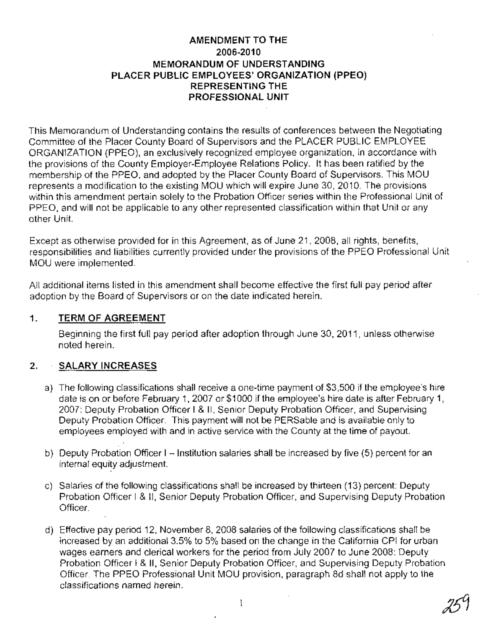#### **AMENDMENT TO THE 2006-2010 MEMORANDUM OF UNDERSTANDING PLACER PUBLIC EMPLOYEES' ORGANIZATION (PPEO) REPRESENTING THE PROFESSIONAL UNIT**

This Memorandum of Understanding contains the results of conferences between the Negotiating Committee of the Placer County Board of Supervisors and the PLACER PUBLIC EMPLOYEE ORGANIZATION (PPEO), an exclusively recognized employee organization, in accordance with the provisions of the County Employer-Employee Relations Policy. It has been ratified by the membership of the PPEO, and adopted by the Placer County Board of Supervisors. This MOU represents a modification to the existing MOU which will expire June 30, 2010. The provisions within this amendment pertain solely to the Probation Officer series within the Professional Unit of PPEO, and will not be applicable to any other represented classification within that Unit or any other Unit.

Except as otherwise provided for in this Agreement, as of June 21, 2008, all rights, benefits, responsibilities and liabilities currently provided under the provisions of the PPEO Professional Unit MOU were implemented.

All additional items listed in this amendment shall become effective the first full pay period after adoption by the Board of Supervisors or on the date indicated herein.

#### **1. TERM OF AGREEMENT**

Beginning the first full pay period after adoption through June 30, 2011, unless otherwise noted herein.

#### **2. SALARY INCREASES**

- a) The following classifications shall receive a one-time payment of \$3,500 if the employee's hire date is on or before February 1, 2007 or \$1000 if the employee's hire date is after February 1, 2007: Deputy Probation Officer I & II, Senior Deputy Probation Officer, and Supervising Deputy Probation Officer. This payment will not be PERSable and is available only to employees employed with and in active service with the County at the time of payout.
- b) Deputy Probation Officer I-Institution salaries shall be increased by five (5) percent for an internal equity adjustment.
- c) Salaries of the following classifications shall be increased by thirteen (13) percent: Deputy Probation Officer I & II, Senior Deputy Probation Officer, and Supervising Deputy Probation Officer.
- d) Effective pay period 12, November 8, 2008 salaries of the following classifications shall be increased by an additional 3.5% to 5% based on the change in the California CPI for urban wages earners and clerical workers for the period from July 2007 to June 2008: Deputy Probation Officer I & II, Senior Deputy Probation Officer, and Supervising Deputy Probation Officer. The PPEO Professional Unit MOU provision, paragraph 8d shall not apply to the classifications named herein.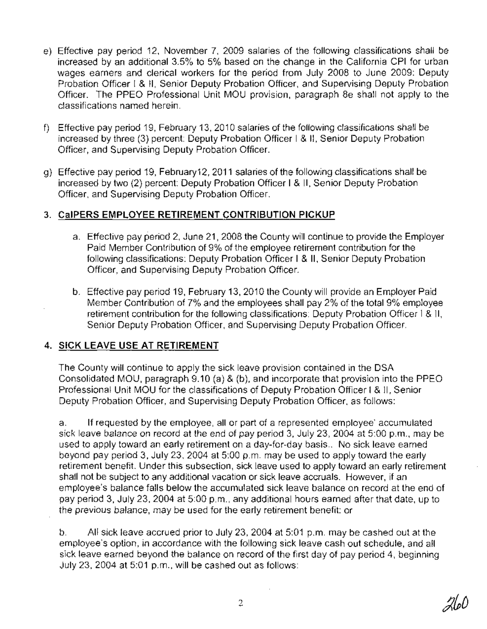- e) Effective pay period 12, November 7, 2009 salaries of the following classifications shall be increased by an additional 3.5% to 5% based on the change in the California CPI for urban wages earners and clerical workers for the period from July 2008 to June 2009: Deputy Probation Officer I & II, Senior Deputy Probation Officer, and Supervising Deputy Probation Officer. The PPEO Professional Unit MOU provision, paragraph 8e shall not apply to the classifications named herein.
- f) Effective pay period 19, February 13, 2010 salaries of the following classifications shall be increased by three (3) percent: Deputy Probation Officer I & II, Senior Deputy Probation Officer, and Supervising Deputy Probation Officer.
- g) Effective pay period 19, February12, 2011 salaries of the following classifications shall be increased by two (2) percent: Deputy Probation Officer I & II, Senior Deputy Probation Officer, and Supervising Deputy Probation Officer.

#### 3. **CalPERS EMPLOYEE RETIREMENT CONTRIBUTION PICKUP**

- a. Effective pay period 2, June 21,2008 the County will continue to provide the Employer Paid Member Contribution of 9% of the employee retirement contribution for the following classifications: Deputy Probation Officer I & II, Senior Deputy Probation Officer, and Supervising Deputy Probation Officer.
- b. Effective pay period 19, February 13, 2010 the County will provide an Employer Paid Member Contribution of 7% and the employees shall pay2% of the total 9% employee retirement contribution for the following classifications: Deputy Probation Officer I & II, Senior Deputy Probation Officer, and Supervising Deputy Probation Officer.

#### 4. **SICK LEAVE USEAT RETIREMENT**

The County will continue to apply the sick leave provision contained in the DSA Consolidated MOU, paragraph 9.10 (a) & (b), and incorporate that provision into the PPEO Professional Unit MOU for the classifications of Deputy Probation Officer I & II, Senior Deputy Probation Officer, and Supervising Deputy Probation Officer, as follows:

a. If requested by the employee, all or part of a represented employee' accumulated sick leave balance on record at the end of pay period 3, July 23, 2004 at 5:00 p.m., may be used to apply toward an early retirement on a day-for-day basis.. No sick leave earned beyond pay period 3, July 23,2004 at 5:00 p.m. may be used to apply toward the early retirement benefit. Under this subsection, sick leave used to apply toward an early retirement shall not be subject to any additional vacation or sick leave accruals. However, if an employee's balance falls below the accumulated sick leave balance on record at the end of pay period 3, July 23,2004 at 5:00 p.m., any additional hours earned after that date, up to the previous balance, may be used for the early retirement benefit: or

b. All sick leave accrued prior to July 23,2004 at 5:01 p.m. may be cashed out at the employee's option, in accordance with the following sick leave cash out schedule, and all sick leave earned beyond the balance on record of the first day of pay period 4, beginning July 23,2004 at 5:01 p.m., will be cashed out as follows:

2loC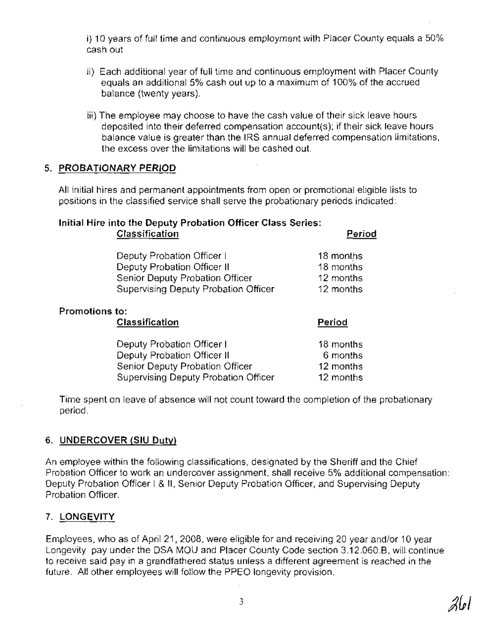i) 10 years of full time and continuous employment with Placer County equals a 50% cash out

- ii) Each additional year of full time and continuous employment with Placer County equals an additional 5% cash out up to a maximum of 100% of the accrued balance (twenty years).
- iii) The employee may choose to have the cash value of their sick leave hours deposited into their deferred compensation account(s); if their sick leave hours balance value is greater than the IRS annual deferred compensation limitations, the excess over the limitations will be cashed out.

#### **5. PROBATIONARY PERIOD**

All initial hires and permanent appointments from open or· promotional eligible lists to positions in the classified service shall serve the probationary periods indicated:

#### **Initial Hire into the Deputy Probation Officer Class Series: Classification Period**

| Deputy Probation Officer             | 18 months |
|--------------------------------------|-----------|
| Deputy Probation Officer II          | 18 months |
| Senior Deputy Probation Officer      | 12 months |
| Supervising Deputy Probation Officer | 12 months |

#### **Promotions to:**

| <b>Classification</b>                | Period    |
|--------------------------------------|-----------|
| Deputy Probation Officer I           | 18 months |
| Deputy Probation Officer II          | 6 months  |
| Senior Deputy Probation Officer      | 12 months |
| Supervising Deputy Probation Officer | 12 months |

Time spent on leave of absence will not count toward the completion of the probationary period.

#### **6. UNDERCOVER (SIU Duty)**

An employee within the following classifications, designated by the Sheriff and the Chief Probation Officer to work an undercover assignment, shall receive 5% additional compensation: Deputy Probation Officer I & II, Senior Deputy Probation Officer, and Supervising Deputy Probation Officer.

#### **7. LONGEVITY**

Employees, who as of April 21, 2008, were eligible for and receiving 20 year and/or 10 year Longevity pay under the DSA MOU and Placer County Code section 3.12.060.B, will continue to receive said pay in a grandfathered status unless a different agreement is reached in the future. All other employees will follow the PPEO longevity provision.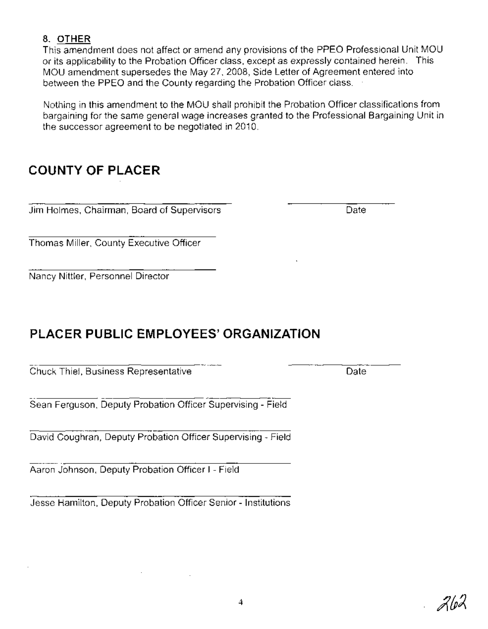#### 8. **OTHER**

This amendment does not affect or amend any provisions of the PPEO Professional Unit MOU or its applicability to the Probation Officer class, except as expressly contained herein. This MOU amendment supersedes the May 27, 2008, Side Letter of Agreement entered into between the PPEO and the County regarding the Probation Officer class.

Nothing in this amendment to the MOU shall prohibit the Probation Officer classifications from bargaining for the same general wage increases granted to the Professional Bargaining Unit in the successor agreement to be negotiated in 2010.

### **COUNTY OF PLACER**

Jim Holmes, Chairman, Board of Supervisors

Thomas Miller, County Executive Officer

Nancy Nittler, Personnel Director

### **PLACER PUBLIC EMPLOYEES' ORGANIZATION**

Chuck Thiel, Business Representative

Sean Ferguson, Deputy Probation Officer Supervising - Field

David Coughran, Deputy Probation Officer Supervising - Field

Aaron Johnson, Deputy Probation Officer I - Field

Jesse Hamilton, Deputy Probation Officer Senior- Institutions

Date

Date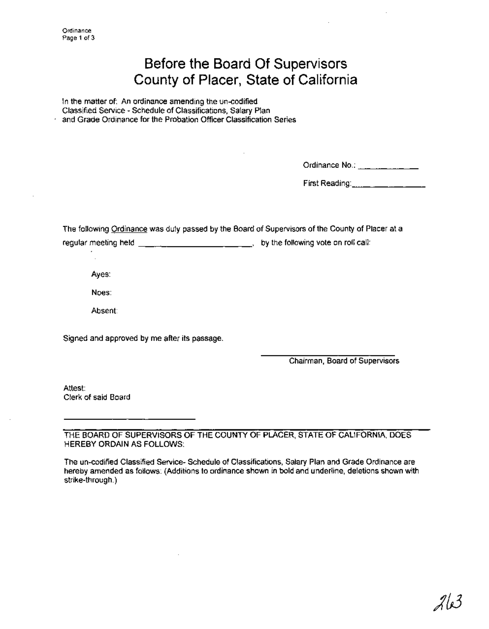# **Before the Board Of Supervisors County of Placer, State of California**

In the matter of: An ordinance amending the un-codified Classified Service - Schedule of Classifications, Salary Plan and Grade Ordinance for the Probation Officer Classification Series

Ordinance No.: \_ \_ \_ \_ \_ \_ \_ \_

First Reading: \_\_\_\_\_ \_\_\_\_ \_\_\_\_ \_\_\_\_\_

The following Ordinance was duly passed by the Board of Supervisors of the County of Placer at a

regular meeting held \_\_\_\_\_\_\_\_\_\_\_\_\_\_\_\_\_\_\_\_\_\_\_\_\_\_\_\_\_\_\_, by the following vote on roll call:

Ayes:

Noes:

Absent:

Signed and approved by me after its passage.

Chairman, Board of Supervisors

Attest: Clerk of said Board

THE BOARD OF SUPERVISORS OF THE COUNTY OFPLACER, STATE OF CALIFORNIA, DOES HEREBY ORDAIN AS FOLLOWS:

The un-codified Classified Service- Schedule of Classifications, Salary Plan and Grade Ordinance are hereby amended as follows: (Additions to ordinance shown in bold and underline, deletions shown with strike-through.)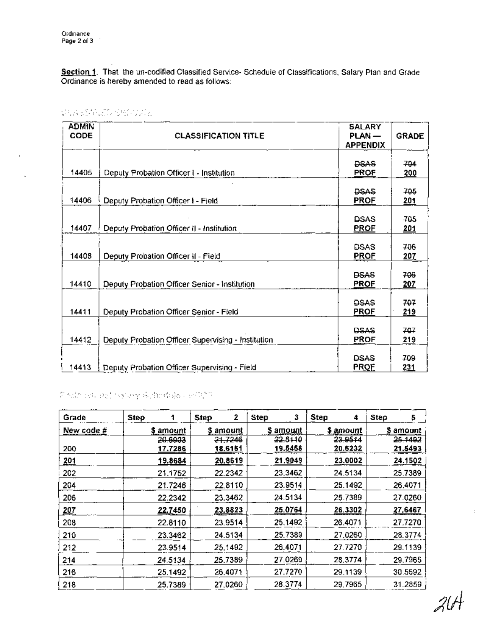$\bar{a}$ 

 $\zeta$ 

Section 1. That the un-codified Classified Service- Schedule of Classifications, Salary Plan and Grade Ordinance is hereby amended to read as follows:

| CHARTERIA SERVITA |  |
|-------------------|--|
|-------------------|--|

| <b>ADMIN</b><br>CODE | <b>CLASSIFICATION TITLE</b>                        | <b>SALARY</b><br><b>PLAN-</b><br><b>APPENDIX</b> | GRADE              |  |
|----------------------|----------------------------------------------------|--------------------------------------------------|--------------------|--|
| 14405                | Deputy Probation Officer I - Institution           | <b>DSAS</b><br><b>PROF</b>                       | 704<br>200         |  |
| 14406                | Deputy Probation Officer I - Field                 | <b>DSAS</b><br><b>PROF</b>                       | 705<br><u>201</u>  |  |
| 14407                | Deputy Probation Officer II - Institution          | <b>DSAS</b><br><b>PROF</b>                       | 705<br><u>201</u>  |  |
| 14408                | Deputy Probation Officer II - Field                | <b>DSAS</b><br><b>PROF</b>                       | 706<br>207         |  |
| 14410                | Deputy Probation Officer Senior - Institution      | <b>DSAS</b><br><b>PROF</b>                       | 706<br>207         |  |
| 14411                | Deputy Probation Officer Senior - Field            | <b>DSAS</b><br><b>PROF</b>                       | 707<br><u>219</u>  |  |
| 14412                | Deputy Probation Officer Supervising - Institution | <b>DSAS</b><br><b>PROF</b>                       | 707<br>219         |  |
| 14413                | Deputy Probation Officer Supervising - Field       | <b>DSAS</b><br><b>PROF</b>                       | 709<br><u> 231</u> |  |

#### Posta con del terrago Selando) si cartight

| Grade       | <b>Step</b>      | 2<br><b>Step</b>    | 3<br><b>Step</b> | Step<br>4        | 5<br>Step       |
|-------------|------------------|---------------------|------------------|------------------|-----------------|
| New code #  | <u>\$ amount</u> |                     | \$ amount        | <u>\$ amount</u> | <u>§ amount</u> |
|             | 20.6903          | <del>21.724</del> 6 | 22.8110          | 23.9514          | 25.1402         |
| 200         | 17.7286          | <u>18,6151</u>      | 19.5458          | 20,5232          | 21,5493         |
| <u> 201</u> | 19.8684          | 20.8619             | 21,9049          | 23.0002          | 24.1502         |
| 202         | 21.1752          | 22.2342             | 23.3462          | 24.5134          | 25.7389         |
| 204         | 21.7246          | 22.8110             | 23.9514          | 25.1492          | 26,4071         |
| 206         | 22.2342          | 23.3462             | 24.5134          | 25.7389          | 27.0260         |
| 207         | 22.7450          | 23.8823             | 25.0764          | 26.3302          | 27,6467         |
| 208         | 22.8110          | 23.9514             | 25.1492          | 26.4071          | 27.7270         |
| 210         | 23.3462          | 24.5134             | 25.7389          | 27,0260          | 28.3774         |
| 212         | 23.9514          | 25,1492             | 26.4071          | 27.7270          | 29.1139         |
| 214         | 24.5134          | 25.7389             | 27.0260          | 28,3774          | 29,7965         |
| 216         | 25.1492          | 26,4071             | 27.7270          | 29.1139          | 30.5692         |
| 218         | 25.7389          | 27.0260             | 28.3774          | 29,7965          | 31.2859         |

 $ZH$ 

 $\mathbb{R}^+$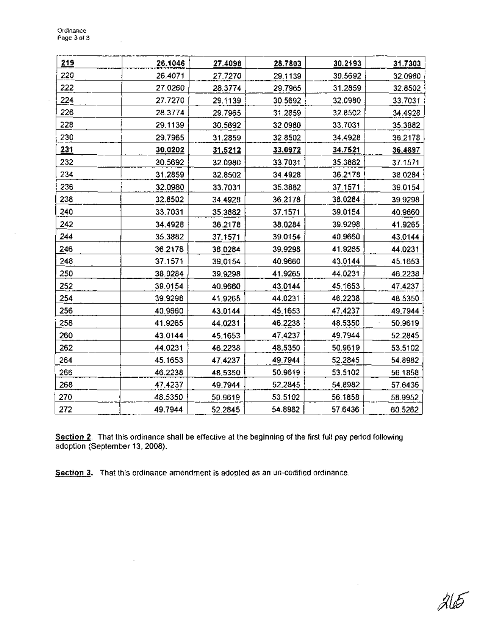| 219         | 26.1046 | 27.4098 | 28.7803 | 30.2193 | 31.7303 |
|-------------|---------|---------|---------|---------|---------|
| 220         | 26.4071 | 27.7270 | 29.1139 | 30.5692 | 32.0980 |
| 222         | 27,0260 | 28.3774 | 29.7965 | 31.2859 | 32.8502 |
| 224         | 27.7270 | 29.1139 | 30.5692 | 32.0980 | 33.7031 |
| 226         | 28.3774 | 29.7965 | 31.2859 | 32.8502 | 34.4928 |
| 228         | 29,1139 | 30.5692 | 32.0980 | 33,7031 | 35.3882 |
| 230         | 29.7965 | 31.2859 | 32.8502 | 34.4928 | 36.2178 |
| <u> 231</u> | 30.0202 | 31.5212 | 33,0972 | 34.7521 | 36.4897 |
| 232         | 30.5692 | 32.0980 | 33.7031 | 35.3882 | 37.1571 |
| 234         | 31.2859 | 32.8502 | 34.4928 | 36.2178 | 38.0284 |
| 236         | 32.0980 | 33.7031 | 35.3882 | 37.1571 | 39.0154 |
| 238         | 32.8502 | 34.4928 | 36.2178 | 38.0284 | 39.9298 |
| 240         | 33.7031 | 35.3882 | 37.1571 | 39.0154 | 40.9660 |
| 242         | 34.4928 | 36.2178 | 38.0284 | 39.9298 | 41.9265 |
| 244         | 35.3882 | 37.1571 | 39.0154 | 40.9660 | 43.0144 |
| 246         | 36.2178 | 38.0284 | 39.9298 | 41.9265 | 44.0231 |
| 248         | 37.1571 | 39.0154 | 40.9660 | 43.0144 | 45.1653 |
| 250         | 38.0284 | 39,9298 | 41.9265 | 44.0231 | 46.2238 |
| 252         | 39.0154 | 40.9660 | 43.0144 | 45.1653 | 47.4237 |
| 254         | 39.9298 | 41.9265 | 44.0231 | 46.2238 | 48.5350 |
| 256         | 40.9660 | 43.0144 | 45.1653 | 47.4237 | 49.7944 |
| 258         | 41.9265 | 44.0231 | 46.2238 | 48.5350 | 50.9619 |
| 260         | 43.0144 | 45.1653 | 47.4237 | 49.7944 | 52.2845 |
| 262         | 44.0231 | 46.2238 | 48.5350 | 50.9619 | 53.5102 |
| 264         | 45.1653 | 47.4237 | 49.7944 | 52.2845 | 54.8982 |
| 266         | 46.2238 | 48,5350 | 50.9619 | 53.5102 | 56.1858 |
| 268         | 47.4237 | 49.7944 | 52,2845 | 54.8982 | 57.6436 |
| 270         | 48.5350 | 50.9619 | 53.5102 | 56.1858 | 58.9952 |
| 272         | 49.7944 | 52.2845 | 54.8982 | 57.6436 | 60.5262 |

Section 2. That this ordinance shall be effective at the beginning of the first full pay period following adoption (September 13, 2008).

 $\lambda b$ 

Section 3. That this ordinance amendment is adopted as an un-codified ordinance.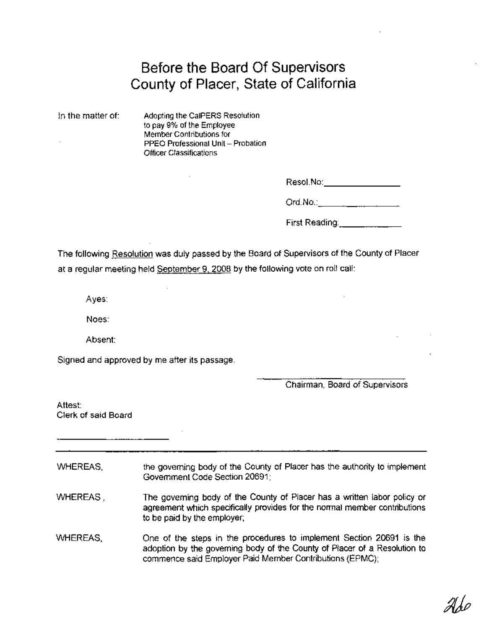## Before the Board Of Supervisors County of Placer, State of California

In the matter of:

Adopting the CalPERS Resolution to pay 9% of the Employee Member Contributions for PPEO Professional Unit - Probation Officer Classifications

ResoI.No: \_

Ord.No.:\_\_\_\_\_\_\_\_\_\_\_\_\_\_\_\_\_\_\_\_\_\_\_\_\_

First Reading:, \_

The following Resolution was duly passed by the Board of Supervisors of the County of Placer at a regular meeting held September 9, 2008 by the following vote on roll call:

Ayes:

Noes:

Absent:

Signed and approved by me after its passage.

Chairman, Board of Supervisors

Attest: Clerk of said Board

- WHEREAS, the governing body of the County of Placer has the authority to implement Government Code Section 20691;
- WHEREAS, The governing body of the County of Placer has a written labor policy or agreement which specifically provides for the normal member contributions to be paid by the employer;
- WHEREAS, One of the steps in the procedures to implement Section 20691 is the adoption by the governing body of the County of Placer of a Resolution to commence said Employer Paid Member Contributions (EPMC);

Dhe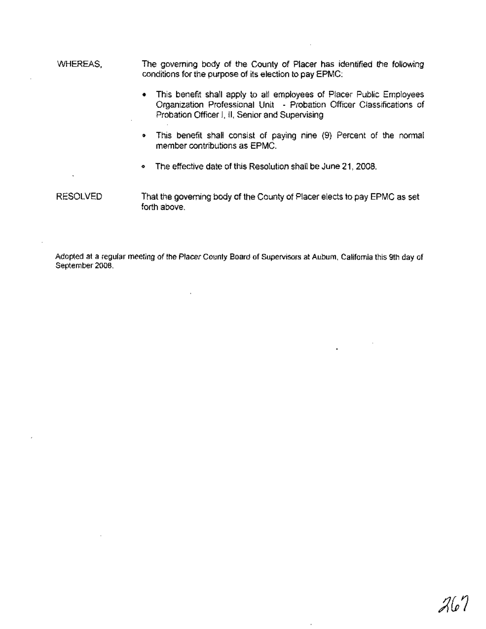- This benefit shall apply to all employees of Placer Public Employees Organization Professional Unit - Probation Officer Classifications of Probation Officer J, II, Senior and Supervising
- This benefit shall consist of paying nine (9) Percent of the normal member contributions as EPMC.
- o The effective date of this Resolution shall be June 21, 2008.
- RESOLVED That the governing body of the County of Placer elects to pay EPMC as set forth above.

Adopted at a regular meeting of the Placer County Board of Supervisors at Auburn, California this 9th day of September 2008.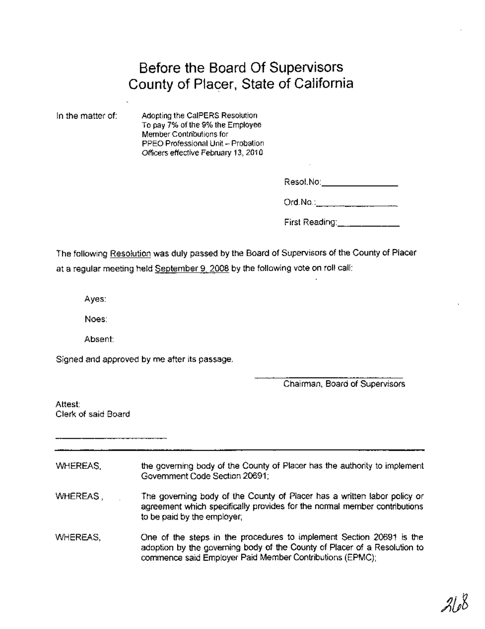# Before the Board Of Supervisors County of Plaqer, State of California

In the matter of: Adopting the CalPERS Resolution To pay 7% of the 9% the Employee Member Contributions for PPEO Professional Unit - Probation Officers effective February 13, 2010

ResoI.No: \_

Ord.No.: \_

First Reading: \_\_\_\_\_\_\_\_\_\_\_\_\_\_

The following Resolution was duly passed by the Board of Supervisors of the County of Placer at a regular meeting held September 9,2008 by the following vote on roll call:

Ayes:

Noes:

Absent:

Signed and approved by me after its passage.

Chairman, Board of Supervisors

Attest: Clerk of said Board

WHEREAS, the governing body of the County of Placer has the authority to implement Government Code Section 20691;

- WHEREAS, The governing body of the County of Placer has a written labor policy or agreement which specifically provides for the normal member contributions to be paid by the employer;
- WHEREAS, One of the steps in the procedures to implement Section 20691 is the adoption by the governing body of the County of Placer of a Resolution to commence said Employer Paid Member Contributions (EPMC);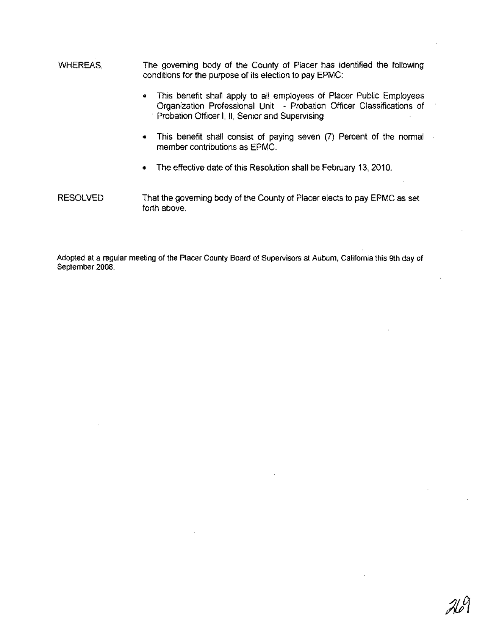- WHEREAS, The governing body of the County of Placer has identified the following conditions for the purpose of its election to pay EPMC:
	- . This benefit shall apply to all employees of Placer Public Employees Organization Professional Unit - Probation Officer Classifications of . Probation Officer I, II, Senior and Supervising
	- This benefit shall consist of paying seven (7) Percent of the normal member contributions as EPMC.
	- e The effective date of this Resolution shall be February 13,2010.
- RESOLVED That the governing body of the County of Placer elects to pay EPMC as set forth above.

Adopted at a regular meeting of the Placer County Board of Supervisors at Auburn, California this 9th day of Adopted at a regular meeting of the Placer County Board of Supervisors at Aubum, California this 9th<br>September 2008.